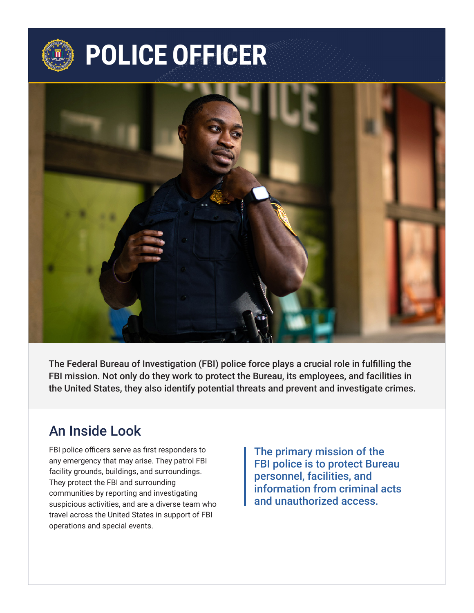

# **POLICE OFFICER**



The Federal Bureau of Investigation (FBI) police force plays a crucial role in fulfilling the FBI mission. Not only do they work to protect the Bureau, its employees, and facilities in the United States, they also identify potential threats and prevent and investigate crimes.

#### An Inside Look

FBI police officers serve as first responders to any emergency that may arise. They patrol FBI facility grounds, buildings, and surroundings. They protect the FBI and surrounding communities by reporting and investigating suspicious activities, and are a diverse team who travel across the United States in support of FBI operations and special events.

The primary mission of the FBI police is to protect Bureau personnel, facilities, and information from criminal acts and unauthorized access.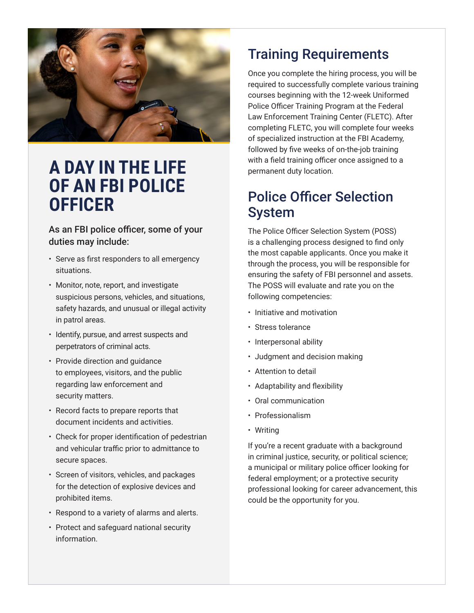

### **A DAY IN THE LIFE OF AN FBI POLICE OFFICER**

As an FBI police officer, some of your duties may include:

- Serve as first responders to all emergency situations.
- Monitor, note, report, and investigate suspicious persons, vehicles, and situations, safety hazards, and unusual or illegal activity in patrol areas.
- Identify, pursue, and arrest suspects and perpetrators of criminal acts.
- Provide direction and guidance to employees, visitors, and the public regarding law enforcement and security matters.
- Record facts to prepare reports that document incidents and activities.
- Check for proper identification of pedestrian and vehicular traffic prior to admittance to secure spaces.
- Screen of visitors, vehicles, and packages for the detection of explosive devices and prohibited items.
- Respond to a variety of alarms and alerts.
- Protect and safeguard national security information.

### Training Requirements

Once you complete the hiring process, you will be required to successfully complete various training courses beginning with the 12-week Uniformed Police Officer Training Program at the Federal Law Enforcement Training Center (FLETC). After completing FLETC, you will complete four weeks of specialized instruction at the FBI Academy, followed by five weeks of on-the-job training with a field training officer once assigned to a permanent duty location.

#### Police Officer Selection System

The Police Officer Selection System (POSS) is a challenging process designed to find only the most capable applicants. Once you make it through the process, you will be responsible for ensuring the safety of FBI personnel and assets. The POSS will evaluate and rate you on the following competencies:

- Initiative and motivation
- Stress tolerance
- Interpersonal ability
- Judgment and decision making
- Attention to detail
- Adaptability and flexibility
- Oral communication
- Professionalism
- Writing

If you're a recent graduate with a background in criminal justice, security, or political science; a municipal or military police officer looking for federal employment; or a protective security professional looking for career advancement, this could be the opportunity for you.